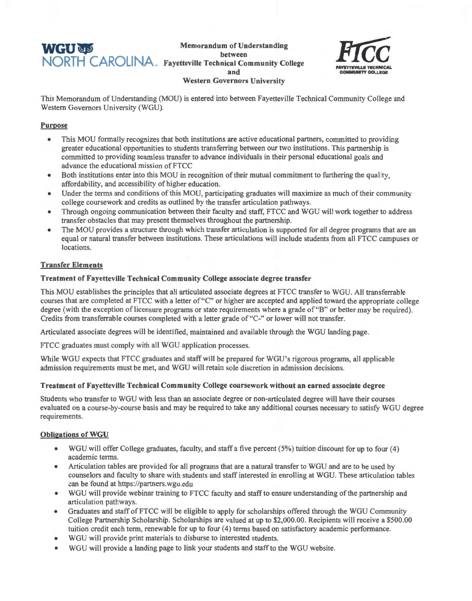# **WGU NORTH CAROLINA** Fayetteville Technical Con

**Memorandum of Understanding Fayetteville Technical Community College and Western Governors University** 



This Memorandum of Understanding (MOU) is entered into between Fayetteville Technical Community College and Western Governors University (WGU).

## **Purpose**

- This MOU formally recognizes that both institutions are active educational partners, committed to providing greater educational opportunities to students transferring between our two institutions. This partnership is committed to providing seamless transfer to advance individuals in their personal educational goals and advance the educational mission of FTCC
- Both institutions enter into this MOU in recognition of their mutual commitment to furthering the quality, affordability, and accessibility of higher education.
- Under the terms and conditions of this MOU, participating graduates will maximize as much of their community college coursework and credits as outlined by the transfer articulation pathways.
- Through ongoing communication between their faculty and staff, FTCC and WGU will work together to address transfer obstacles that may present themselves throughout the partnership.
- The MOU provides a structure through which transfer articulation is supported for all degree programs that are an equal or natural transfer between institutions. These articulations will include students from all FTCC campuses or locations.

# **Transfer Elements**

## **Treatment of Fayetteville Technical Community College associate degree transfer**

This MOU establishes the principles that all articulated associate degrees at FTCC transfer to WGU. All transferrable courses that are completed at FTCC with a letter of"C" or higher are accepted and applied toward the appropriate college degree (with the exception of licensure programs or state requirements where a grade of "B" or better may be required). Credits from transferrable courses completed with a letter grade of"C-" or lower will not transfer.

Articulated associate degrees will be identified, maintained and available through the WGU landing page.

FTCC graduates must comply with all WGU application processes.

While WGU expects that FTCC graduates and staff will be prepared for WGU's rigorous programs, all applicable admission requirements must be met, and WGU will retain sole discretion in admission decisions.

## **Treatment of Fayetteville Technical Community College coursework without an earned associate degree**

Students who transfer to WGU with less than an associate degree or non-articulated degree will have their courses evaluated on a course-by-course basis and may be required to take any additional courses necessary to satisfy WGU degree requirements.

## **Obligations of WGU**

- WGU will offer College graduates, faculty, and staff a five percent (5%) tuition discount for up to four (4) academic terms.
- Articulation tables are provided for all programs that are a natural transfer to WGU and are to be used by counselors and faculty to share with students and staff interested in enrolling at WGU. These articulation tables can be found at https://partners.wgu.edu
- WGU will provide webinar training to FTCC faculty and staff to ensure understanding of the partnership and articulation pathways.
- Graduates and staff of FTCC will be eligible to apply for scholarships offered through the WGU Community College Partnership Scholarship. Scholarships are valued at up to \$2,000.00. Recipients will receive a \$500.00 tuition credit each term, renewable for up to four (4) terms based on satisfactory academic performance.
- WGU will provide print materials to disburse to interested students.
- WGU will provide a landing page to link your students and staff to the WGU website.